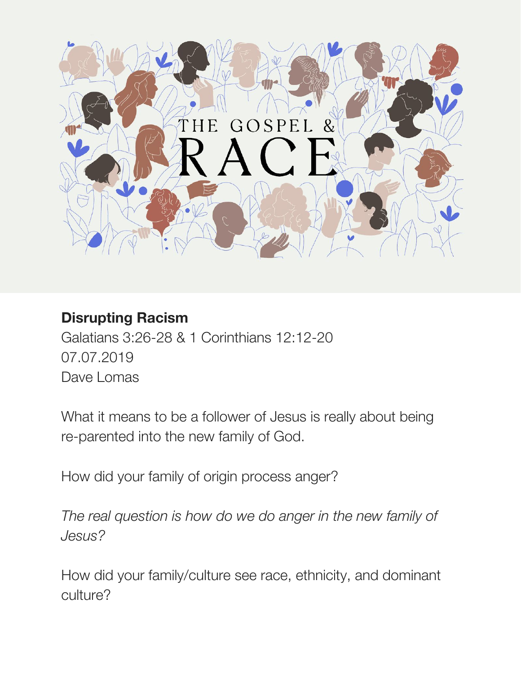

# **Disrupting Racism**

Galatians 3:26-28 & 1 Corinthians 12:12-20 07.07.2019 Dave Lomas

What it means to be a follower of Jesus is really about being re-parented into the new family of God.

How did your family of origin process anger?

*The real question is how do we do anger in the new family of Jesus?*

How did your family/culture see race, ethnicity, and dominant culture?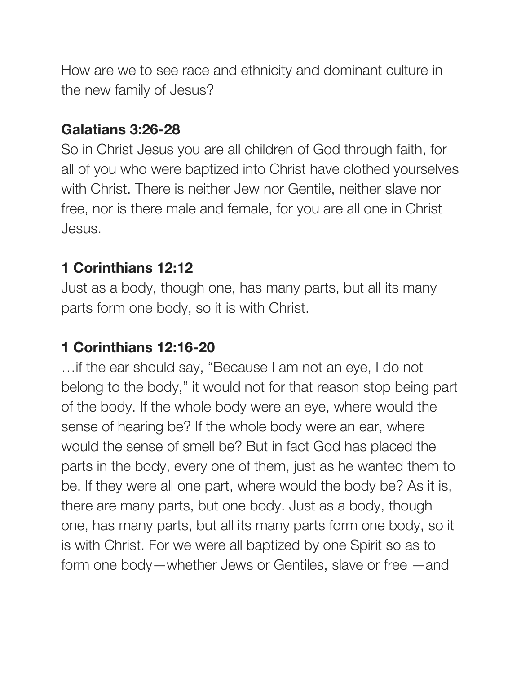How are we to see race and ethnicity and dominant culture in the new family of Jesus?

#### **Galatians 3:26-28**

So in Christ Jesus you are all children of God through faith, for all of you who were baptized into Christ have clothed yourselves with Christ. There is neither Jew nor Gentile, neither slave nor free, nor is there male and female, for you are all one in Christ Jesus.

#### **1 Corinthians 12:12**

Just as a body, though one, has many parts, but all its many parts form one body, so it is with Christ.

# **1 Corinthians 12:16-20**

…if the ear should say, "Because I am not an eye, I do not belong to the body," it would not for that reason stop being part of the body. If the whole body were an eye, where would the sense of hearing be? If the whole body were an ear, where would the sense of smell be? But in fact God has placed the parts in the body, every one of them, just as he wanted them to be. If they were all one part, where would the body be? As it is, there are many parts, but one body. Just as a body, though one, has many parts, but all its many parts form one body, so it is with Christ. For we were all baptized by one Spirit so as to form one body—whether Jews or Gentiles, slave or free —and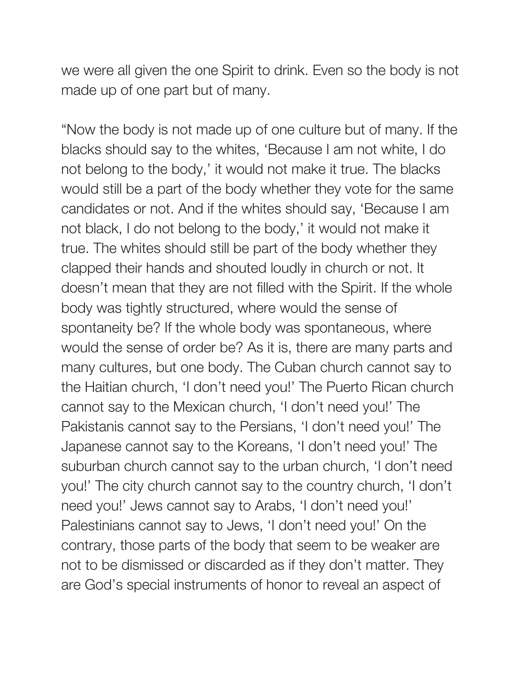we were all given the one Spirit to drink. Even so the body is not made up of one part but of many.

"Now the body is not made up of one culture but of many. If the blacks should say to the whites, 'Because I am not white, I do not belong to the body,' it would not make it true. The blacks would still be a part of the body whether they vote for the same candidates or not. And if the whites should say, 'Because I am not black, I do not belong to the body,' it would not make it true. The whites should still be part of the body whether they clapped their hands and shouted loudly in church or not. It doesn't mean that they are not filled with the Spirit. If the whole body was tightly structured, where would the sense of spontaneity be? If the whole body was spontaneous, where would the sense of order be? As it is, there are many parts and many cultures, but one body. The Cuban church cannot say to the Haitian church, 'I don't need you!' The Puerto Rican church cannot say to the Mexican church, 'I don't need you!' The Pakistanis cannot say to the Persians, 'I don't need you!' The Japanese cannot say to the Koreans, 'I don't need you!' The suburban church cannot say to the urban church, 'I don't need you!' The city church cannot say to the country church, 'I don't need you!' Jews cannot say to Arabs, 'I don't need you!' Palestinians cannot say to Jews, 'I don't need you!' On the contrary, those parts of the body that seem to be weaker are not to be dismissed or discarded as if they don't matter. They are God's special instruments of honor to reveal an aspect of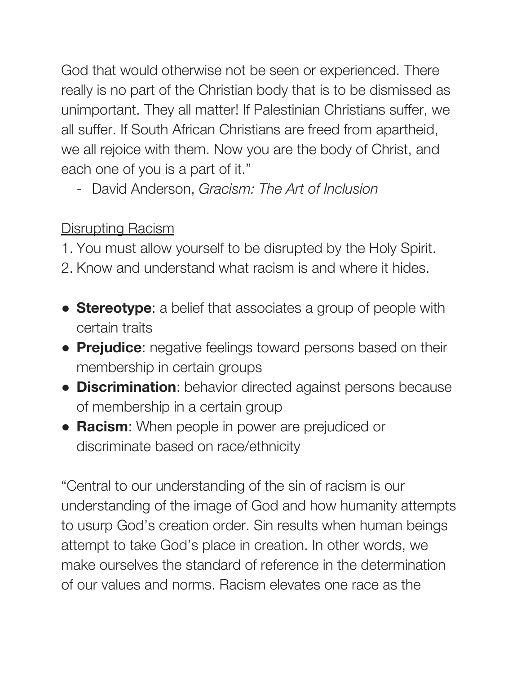God that would otherwise not be seen or experienced. There really is no part of the Christian body that is to be dismissed as unimportant. They all matter! If Palestinian Christians suffer, we all suffer. If South African Christians are freed from apartheid, we all rejoice with them. Now you are the body of Christ, and each one of you is a part of it."

- David Anderson, *Gracism: The Art of Inclusion*

# Disrupting Racism

1. You must allow yourself to be disrupted by the Holy Spirit.

- 2. Know and understand what racism is and where it hides.
- **Stereotype**: a belief that associates a group of people with certain traits
- **Prejudice:** negative feelings toward persons based on their membership in certain groups
- **Discrimination**: behavior directed against persons because of membership in a certain group
- **Racism**: When people in power are prejudiced or discriminate based on race/ethnicity

"Central to our understanding of the sin of racism is our understanding of the image of God and how humanity attempts to usurp God's creation order. Sin results when human beings attempt to take God's place in creation. In other words, we make ourselves the standard of reference in the determination of our values and norms. Racism elevates one race as the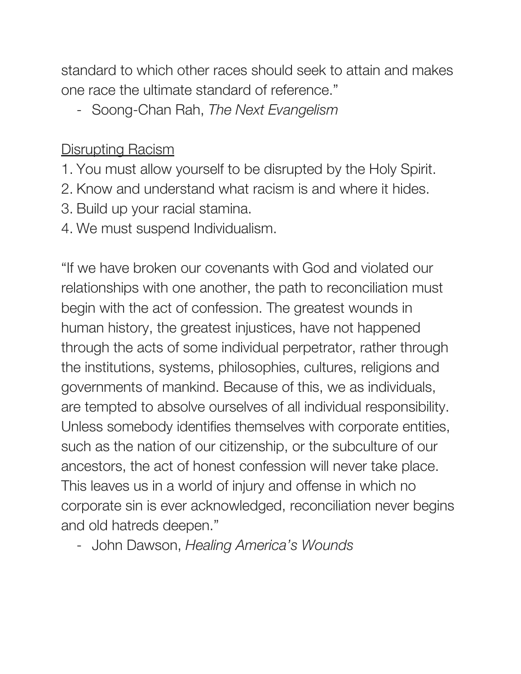standard to which other races should seek to attain and makes one race the ultimate standard of reference."

- Soong-Chan Rah, *The Next Evangelism*

### **Disrupting Racism**

- 1. You must allow yourself to be disrupted by the Holy Spirit.
- 2. Know and understand what racism is and where it hides.
- 3. Build up your racial stamina.
- 4. We must suspend Individualism.

"If we have broken our covenants with God and violated our relationships with one another, the path to reconciliation must begin with the act of confession. The greatest wounds in human history, the greatest injustices, have not happened through the acts of some individual perpetrator, rather through the institutions, systems, philosophies, cultures, religions and governments of mankind. Because of this, we as individuals, are tempted to absolve ourselves of all individual responsibility. Unless somebody identifies themselves with corporate entities, such as the nation of our citizenship, or the subculture of our ancestors, the act of honest confession will never take place. This leaves us in a world of injury and offense in which no corporate sin is ever acknowledged, reconciliation never begins and old hatreds deepen."

- John Dawson, *Healing America's Wounds*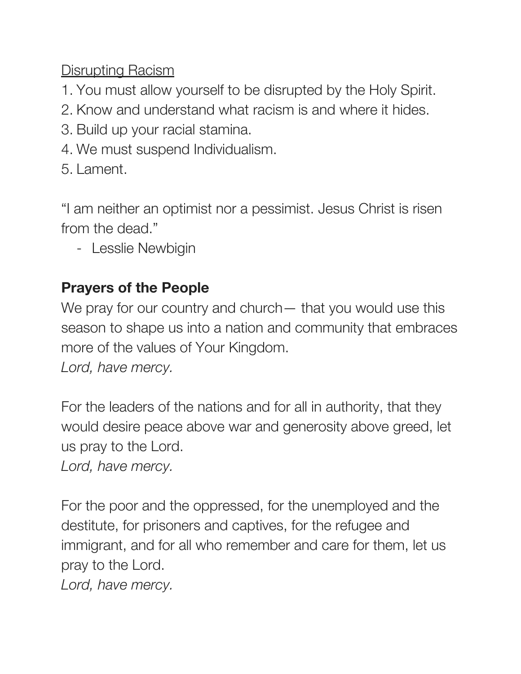Disrupting Racism

- 1. You must allow yourself to be disrupted by the Holy Spirit.
- 2. Know and understand what racism is and where it hides.
- 3. Build up your racial stamina.
- 4. We must suspend Individualism.
- 5. Lament.

"I am neither an optimist nor a pessimist. Jesus Christ is risen from the dead."

- Lesslie Newbigin

#### **Prayers of the People**

We pray for our country and church— that you would use this season to shape us into a nation and community that embraces more of the values of Your Kingdom.

*Lord, have mercy.*

For the leaders of the nations and for all in authority, that they would desire peace above war and generosity above greed, let us pray to the Lord.

*Lord, have mercy.*

For the poor and the oppressed, for the unemployed and the destitute, for prisoners and captives, for the refugee and immigrant, and for all who remember and care for them, let us pray to the Lord.

*Lord, have mercy.*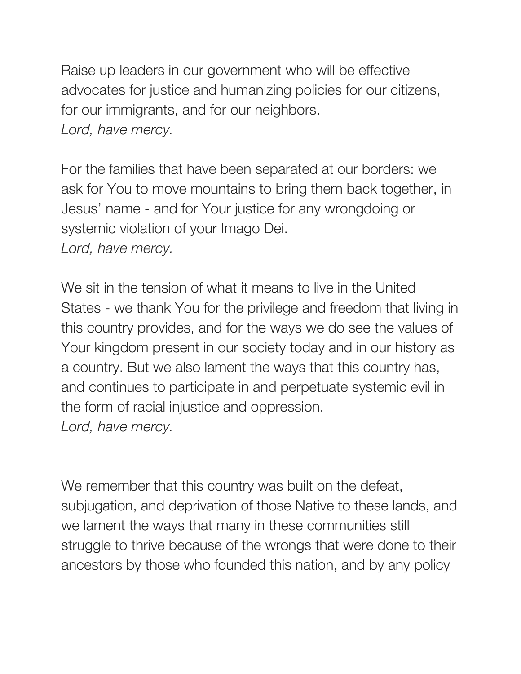Raise up leaders in our government who will be effective advocates for justice and humanizing policies for our citizens, for our immigrants, and for our neighbors. *Lord, have mercy.*

For the families that have been separated at our borders: we ask for You to move mountains to bring them back together, in Jesus' name - and for Your justice for any wrongdoing or systemic violation of your Imago Dei. *Lord, have mercy.*

We sit in the tension of what it means to live in the United States - we thank You for the privilege and freedom that living in this country provides, and for the ways we do see the values of Your kingdom present in our society today and in our history as a country. But we also lament the ways that this country has, and continues to participate in and perpetuate systemic evil in the form of racial injustice and oppression. *Lord, have mercy.*

We remember that this country was built on the defeat, subjugation, and deprivation of those Native to these lands, and we lament the ways that many in these communities still struggle to thrive because of the wrongs that were done to their ancestors by those who founded this nation, and by any policy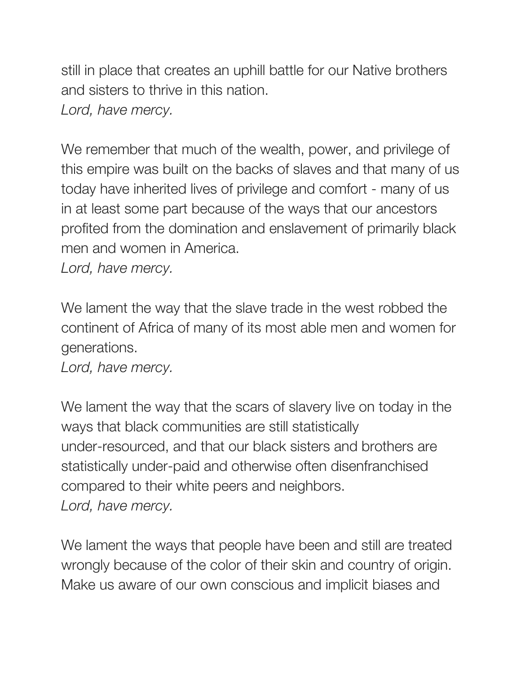still in place that creates an uphill battle for our Native brothers and sisters to thrive in this nation. *Lord, have mercy.*

We remember that much of the wealth, power, and privilege of this empire was built on the backs of slaves and that many of us today have inherited lives of privilege and comfort - many of us in at least some part because of the ways that our ancestors profited from the domination and enslavement of primarily black men and women in America.

*Lord, have mercy.*

We lament the way that the slave trade in the west robbed the continent of Africa of many of its most able men and women for generations.

*Lord, have mercy.*

We lament the way that the scars of slavery live on today in the ways that black communities are still statistically under-resourced, and that our black sisters and brothers are statistically under-paid and otherwise often disenfranchised compared to their white peers and neighbors. *Lord, have mercy.*

We lament the ways that people have been and still are treated wrongly because of the color of their skin and country of origin. Make us aware of our own conscious and implicit biases and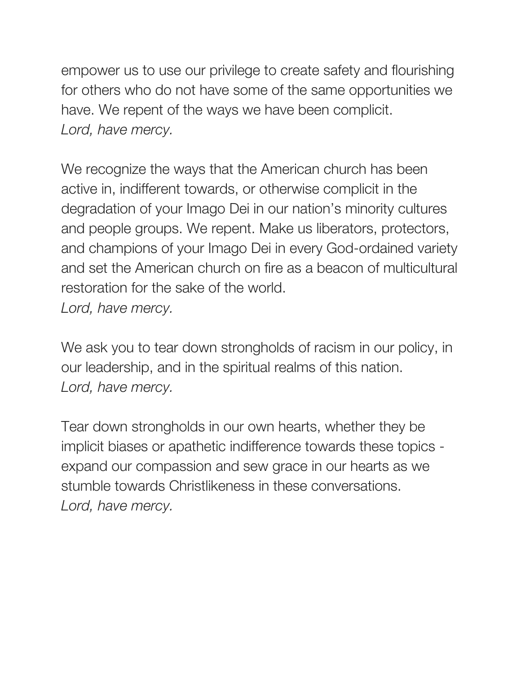empower us to use our privilege to create safety and flourishing for others who do not have some of the same opportunities we have. We repent of the ways we have been complicit. *Lord, have mercy.*

We recognize the ways that the American church has been active in, indifferent towards, or otherwise complicit in the degradation of your Imago Dei in our nation's minority cultures and people groups. We repent. Make us liberators, protectors, and champions of your Imago Dei in every God-ordained variety and set the American church on fire as a beacon of multicultural restoration for the sake of the world. *Lord, have mercy.*

We ask you to tear down strongholds of racism in our policy, in our leadership, and in the spiritual realms of this nation. *Lord, have mercy.*

Tear down strongholds in our own hearts, whether they be implicit biases or apathetic indifference towards these topics expand our compassion and sew grace in our hearts as we stumble towards Christlikeness in these conversations. *Lord, have mercy.*